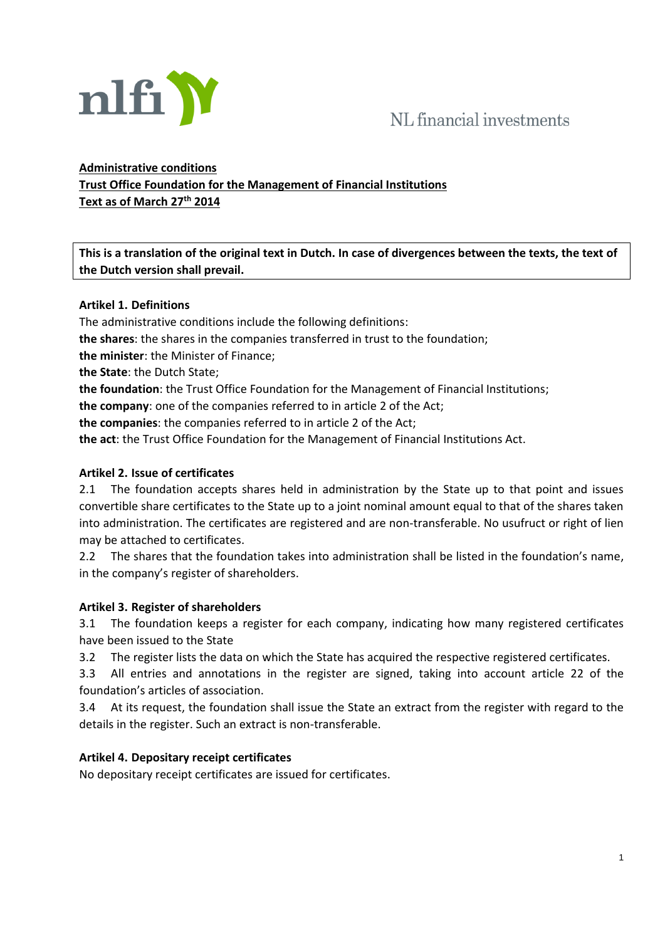

# NL financial investments

## **Administrative conditions Trust Office Foundation for the Management of Financial Institutions Text as of March 27th 2014**

**This is a translation of the original text in Dutch. In case of divergences between the texts, the text of the Dutch version shall prevail.**

## **Artikel 1. Definitions**

The administrative conditions include the following definitions: **the shares**: the shares in the companies transferred in trust to the foundation; **the minister**: the Minister of Finance; **the State**: the Dutch State; **the foundation**: the Trust Office Foundation for the Management of Financial Institutions; **the company**: one of the companies referred to in article 2 of the Act; **the companies**: the companies referred to in article 2 of the Act; **the act**: the Trust Office Foundation for the Management of Financial Institutions Act.

## **Artikel 2. Issue of certificates**

2.1 The foundation accepts shares held in administration by the State up to that point and issues convertible share certificates to the State up to a joint nominal amount equal to that of the shares taken into administration. The certificates are registered and are non-transferable. No usufruct or right of lien may be attached to certificates.

2.2 The shares that the foundation takes into administration shall be listed in the foundation's name, in the company's register of shareholders.

#### **Artikel 3. Register of shareholders**

3.1 The foundation keeps a register for each company, indicating how many registered certificates have been issued to the State

3.2 The register lists the data on which the State has acquired the respective registered certificates.

3.3 All entries and annotations in the register are signed, taking into account article 22 of the foundation's articles of association.

3.4 At its request, the foundation shall issue the State an extract from the register with regard to the details in the register. Such an extract is non-transferable.

#### **Artikel 4. Depositary receipt certificates**

No depositary receipt certificates are issued for certificates.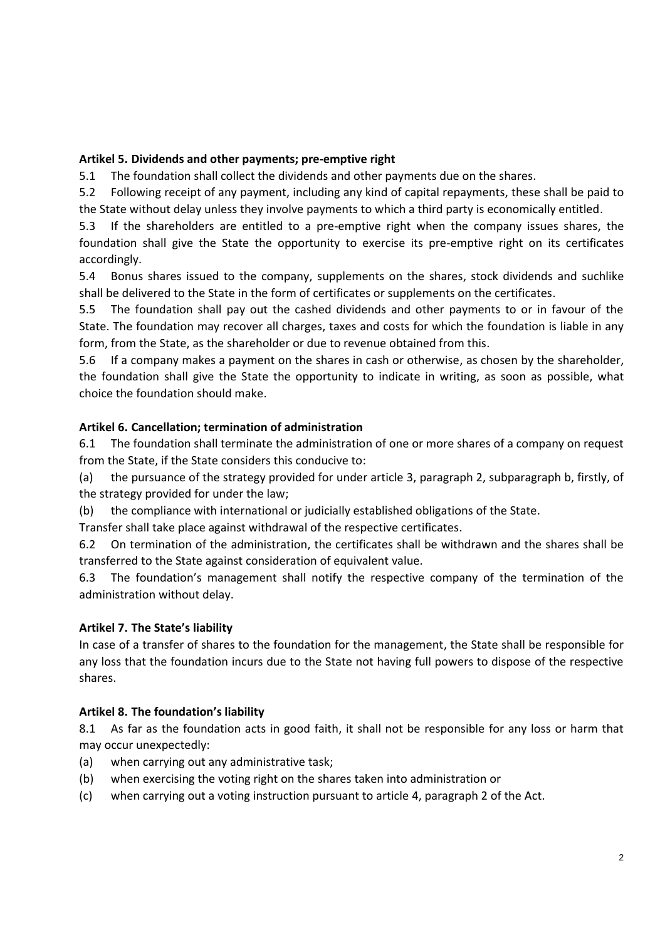## **Artikel 5. Dividends and other payments; pre-emptive right**

5.1 The foundation shall collect the dividends and other payments due on the shares.

5.2 Following receipt of any payment, including any kind of capital repayments, these shall be paid to the State without delay unless they involve payments to which a third party is economically entitled.

5.3 If the shareholders are entitled to a pre-emptive right when the company issues shares, the foundation shall give the State the opportunity to exercise its pre-emptive right on its certificates accordingly.

5.4 Bonus shares issued to the company, supplements on the shares, stock dividends and suchlike shall be delivered to the State in the form of certificates or supplements on the certificates.

5.5 The foundation shall pay out the cashed dividends and other payments to or in favour of the State. The foundation may recover all charges, taxes and costs for which the foundation is liable in any form, from the State, as the shareholder or due to revenue obtained from this.

5.6 If a company makes a payment on the shares in cash or otherwise, as chosen by the shareholder, the foundation shall give the State the opportunity to indicate in writing, as soon as possible, what choice the foundation should make.

## **Artikel 6. Cancellation; termination of administration**

6.1 The foundation shall terminate the administration of one or more shares of a company on request from the State, if the State considers this conducive to:

(a) the pursuance of the strategy provided for under article 3, paragraph 2, subparagraph b, firstly, of the strategy provided for under the law;

(b) the compliance with international or judicially established obligations of the State.

Transfer shall take place against withdrawal of the respective certificates.

6.2 On termination of the administration, the certificates shall be withdrawn and the shares shall be transferred to the State against consideration of equivalent value.

6.3 The foundation's management shall notify the respective company of the termination of the administration without delay.

#### **Artikel 7. The State's liability**

In case of a transfer of shares to the foundation for the management, the State shall be responsible for any loss that the foundation incurs due to the State not having full powers to dispose of the respective shares.

#### **Artikel 8. The foundation's liability**

8.1 As far as the foundation acts in good faith, it shall not be responsible for any loss or harm that may occur unexpectedly:

- (a) when carrying out any administrative task;
- (b) when exercising the voting right on the shares taken into administration or
- (c) when carrying out a voting instruction pursuant to article 4, paragraph 2 of the Act.